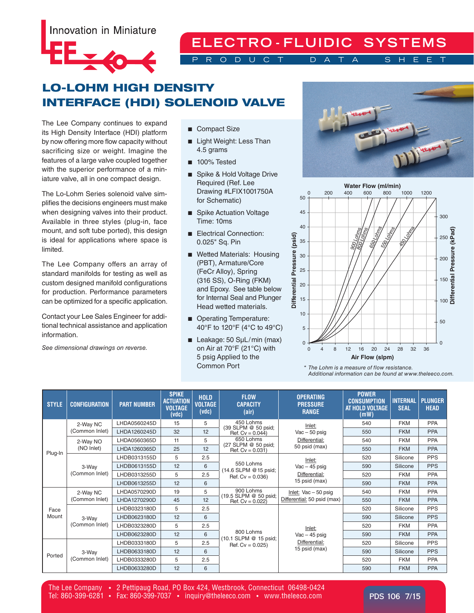## **Innovation in Miniature**



## **ELECTRO - FLUIDIC SYSTEMS** RODUCT DATA S

## LO-LOHM HIGH DENSITY INTERFACE (HDI) SOLENOID VALVE

The Lee Company continues to expand its High Density Interface (HDI) platform by now offering more flow capacity without sacrificing size or weight. Imagine the features of a large valve coupled together with the superior performance of a miniature valve, all in one compact design.

The Lo-Lohm Series solenoid valve simplifies the decisions engineers must make when designing valves into their product. Available in three styles (plug-in, face mount, and soft tube ported), this design is ideal for applications where space is limited.

The Lee Company offers an array of standard manifolds for testing as well as custom designed manifold configurations for production. Performance parameters can be optimized for a specific application.

Contact your Lee Sales Engineer for additional technical assistance and application information.

*See dimensional drawings on reverse.*

- Compact Size
- Light Weight: Less Than 4.5 grams
- 100% Tested
- Spike & Hold Voltage Drive Required (Ref. Lee Drawing #LFIX1001750A for Schematic)
- Spike Actuation Voltage Time: 10ms
- Electrical Connection: 0.025" Sq. Pin
- Wetted Materials: Housing (PBT), Armature/Core (FeCr Alloy), Spring (316 SS), O-Ring (FKM) and Epoxy. See table below for Internal Seal and Plunger Head wetted materials.
- Operating Temperature: 40°F to 120°F (4°C to 49°C)
- Leakage: 50 SµL/min (max) on Air at 70°F (21°C) with 5 psig Applied to the Common Port





*\* The Lohm is a measure of flow resistance. Additional information can be found at www.theleeco.com.*

| <b>STYLE</b>  | <b>CONFIGURATION</b>       | <b>PART NUMBER</b> | <b>SPIKE</b><br><b>ACTUATION</b><br><b>VOLTAGE</b><br>(vdc) | <b>HOLD</b><br><b>VOLTAGE</b><br>(vdc) | <b>FLOW</b><br><b>CAPACITY</b><br>(air)                 | <b>OPERATING</b><br><b>PRESSURE</b><br><b>RANGE</b>         | <b>POWER</b><br><b>CONSUMPTION</b><br>AT HOLD VOLTAGE<br>(mW) | <b>INTERNAL</b><br><b>SEAL</b> | <b>PLUNGER</b><br><b>HEAD</b> |
|---------------|----------------------------|--------------------|-------------------------------------------------------------|----------------------------------------|---------------------------------------------------------|-------------------------------------------------------------|---------------------------------------------------------------|--------------------------------|-------------------------------|
| Plug-In       | 2-Way NC<br>(Common Inlet) | LHDA0560245D       | 15                                                          | 5                                      | 450 Lohms<br>(39 SLPM @ 50 psid;<br>Ref. $Cv = 0.044$ ) | Inlet:<br>$Vac - 50$ psig<br>Differential:<br>50 psid (max) | 540                                                           | <b>FKM</b>                     | <b>PPA</b>                    |
|               |                            | LHDA1260245D       | 32                                                          | 12                                     |                                                         |                                                             | 550                                                           | <b>FKM</b>                     | PPA                           |
|               | 2-Way NO<br>(NO Inlet)     | LHDA0560365D       | 11                                                          | 5                                      | 650 Lohms<br>(27 SLPM @ 50 psid;<br>$Ref. CV = 0.031$   |                                                             | 540                                                           | <b>FKM</b>                     | <b>PPA</b>                    |
|               |                            | LHDA1260365D       | 25                                                          | 12                                     |                                                         |                                                             | 550                                                           | <b>FKM</b>                     | <b>PPA</b>                    |
|               | 3-Way<br>(Common Inlet)    | LHDB0313155D       | 5                                                           | 2.5                                    | 550 Lohms<br>(14.6 SLPM @ 15 psid;<br>$Ref. CV = 0.036$ | Inlet:<br>$Vac - 45$ psig<br>Differential:<br>15 psid (max) | 520                                                           | Silicone                       | <b>PPS</b>                    |
|               |                            | LHDB0613155D       | 12                                                          | 6                                      |                                                         |                                                             | 590                                                           | Silicone                       | <b>PPS</b>                    |
|               |                            | LHDB0313255D       | 5                                                           | 2.5                                    |                                                         |                                                             | 520                                                           | <b>FKM</b>                     | PPA                           |
|               |                            | LHDB0613255D       | 12                                                          | 6                                      |                                                         |                                                             | 590                                                           | <b>FKM</b>                     | <b>PPA</b>                    |
| Face<br>Mount | 2-Way NC<br>(Common Inlet) | LHDA0570290D       | 19                                                          | 5                                      | 900 Lohms<br>(19.5 SLPM @ 50 psid;<br>$Ref. CV = 0.022$ | Inlet: $Vac - 50$ psig<br>Differential: 50 psid (max)       | 540                                                           | <b>FKM</b>                     | PPA                           |
|               |                            | LHDA1270290D       | 45                                                          | 12                                     |                                                         |                                                             | 550                                                           | <b>FKM</b>                     | <b>PPA</b>                    |
|               | 3-Way<br>(Common Inlet)    | LHDB0323180D       | 5                                                           | 2.5                                    | 800 Lohms<br>(10.1 SLPM @ 15 psid;<br>$Ref. CV = 0.025$ | Inlet:<br>$Vac - 45$ psig<br>Differential:<br>15 psid (max) | 520                                                           | Silicone                       | <b>PPS</b>                    |
|               |                            | LHDB0623180D       | 12                                                          | 6                                      |                                                         |                                                             | 590                                                           | Silicone                       | <b>PPS</b>                    |
|               |                            | LHDB0323280D       | 5                                                           | 2.5                                    |                                                         |                                                             | 520                                                           | <b>FKM</b>                     | <b>PPA</b>                    |
|               |                            | LHDB0623280D       | 12                                                          | 6                                      |                                                         |                                                             | 590                                                           | <b>FKM</b>                     | <b>PPA</b>                    |
| Ported        | 3-Way<br>(Common Inlet)    | LHDB0333180D       | 5                                                           | 2.5                                    |                                                         |                                                             | 520                                                           | Silicone                       | <b>PPS</b>                    |
|               |                            | LHDB0633180D       | 12                                                          | 6                                      |                                                         |                                                             | 590                                                           | Silicone                       | <b>PPS</b>                    |
|               |                            | LHDB0333280D       | 5                                                           | 2.5                                    |                                                         |                                                             | 520                                                           | <b>FKM</b>                     | PPA                           |
|               |                            | LHDB0633280D       | 12                                                          | 6                                      |                                                         |                                                             | 590                                                           | <b>FKM</b>                     | <b>PPA</b>                    |